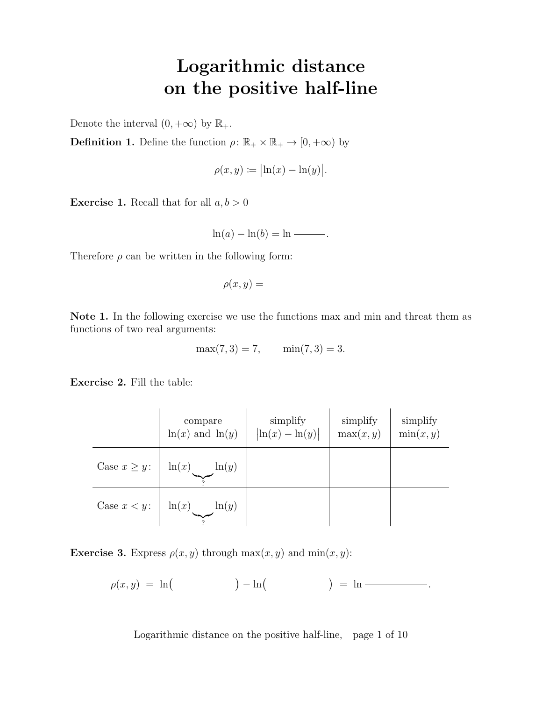# Logarithmic distance on the positive half-line

Denote the interval  $(0, +\infty)$  by  $\mathbb{R}_+$ .

**Definition 1.** Define the function  $\rho: \mathbb{R}_+ \times \mathbb{R}_+ \to [0, +\infty)$  by

$$
\rho(x,y) \coloneqq \bigl| \ln(x) - \ln(y) \bigr|.
$$

**Exercise 1.** Recall that for all  $a, b > 0$ 

 $\ln(a) - \ln(b) = \ln \sim$ .

Therefore  $\rho$  can be written in the following form:

$$
\rho(x,y) =
$$

Note 1. In the following exercise we use the functions max and min and threat them as functions of two real arguments:

$$
\max(7,3) = 7, \quad \min(7,3) = 3.
$$

Exercise 2. Fill the table:

|                   | compare<br>$\ln(x)$ and $\ln(y)$ | simplify<br>$\left \ln(x) - \ln(y)\right $ | simplify<br>max(x, y) | simplify<br>$\min(x, y)$ |
|-------------------|----------------------------------|--------------------------------------------|-----------------------|--------------------------|
| Case $x \geq y$ : | ln(y)<br>$\ln(x)$                |                                            |                       |                          |
| Case $x < y$ :    | ln(y)<br>$\ln(x)$                |                                            |                       |                          |

**Exercise 3.** Express  $\rho(x, y)$  through  $\max(x, y)$  and  $\min(x, y)$ :

$$
\rho(x,y) = \ln\left(\qquad \qquad\right) - \ln\left(\qquad \qquad\right) = \ln \text{---}
$$

Logarithmic distance on the positive half-line, page 1 of 10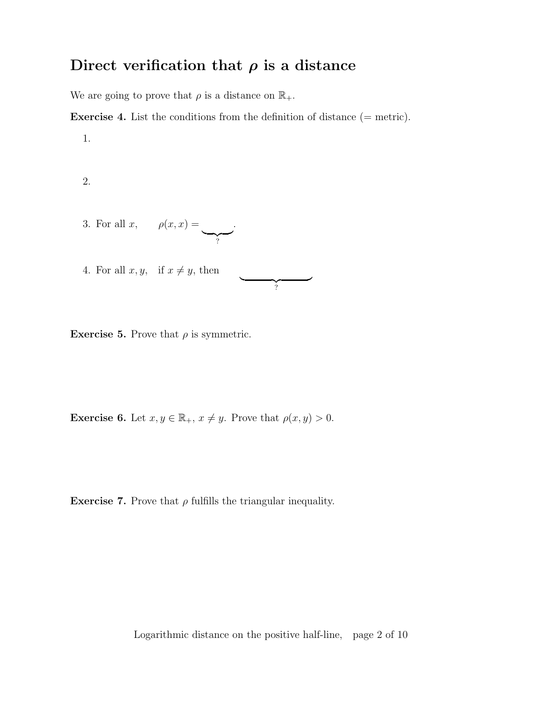### Direct verification that  $\rho$  is a distance

We are going to prove that  $\rho$  is a distance on  $\mathbb{R}_+.$ 

**Exercise 4.** List the conditions from the definition of distance  $(=$  metric).

 $\overbrace{\hspace{2.5cm}}^2$ ?

1.

2.

- 3. For all  $x$ ,  $\rho(x,x) =$  $\bigvee$ .
- 4. For all  $x, y$ , if  $x \neq y$ , then

**Exercise 5.** Prove that  $\rho$  is symmetric.

**Exercise 6.** Let  $x, y \in \mathbb{R}_+$ ,  $x \neq y$ . Prove that  $\rho(x, y) > 0$ .

**Exercise 7.** Prove that  $\rho$  fulfills the triangular inequality.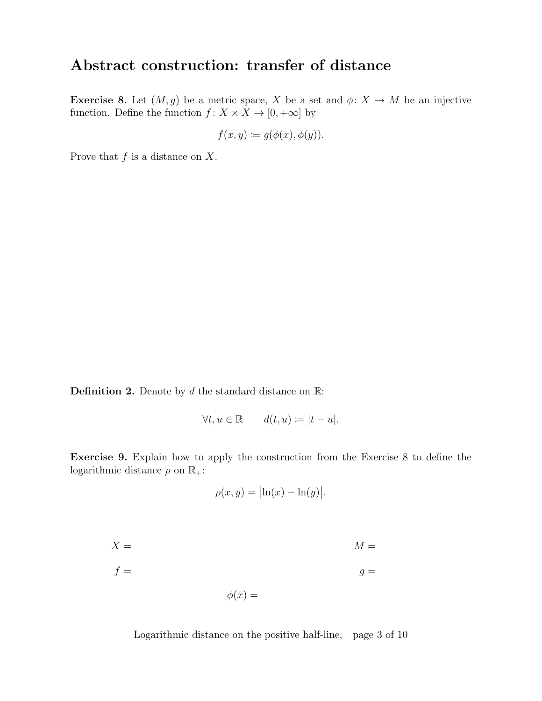#### Abstract construction: transfer of distance

**Exercise 8.** Let  $(M, g)$  be a metric space, X be a set and  $\phi: X \to M$  be an injective function. Define the function  $f: X \times X \to [0, +\infty]$  by

$$
f(x, y) \coloneqq g(\phi(x), \phi(y)).
$$

Prove that  $f$  is a distance on  $X$ .

**Definition 2.** Denote by  $d$  the standard distance on  $\mathbb{R}$ :

$$
\forall t, u \in \mathbb{R} \qquad d(t, u) \coloneqq |t - u|.
$$

Exercise 9. Explain how to apply the construction from the Exercise 8 to define the logarithmic distance  $\rho$  on  $\mathbb{R}_+$ :

$$
\rho(x,y) = \bigl|\ln(x) - \ln(y)\bigr|.
$$

$$
X = M
$$
  

$$
f = g
$$
  

$$
\phi(x) =
$$

Logarithmic distance on the positive half-line, page 3 of 10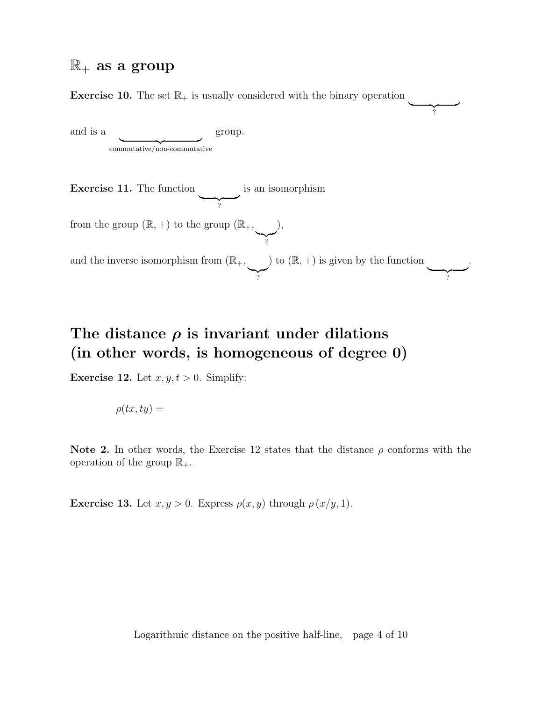#### $\mathbb{R}_+$  as a group

**Exercise 10.** The set  $\mathbb{R}_+$  is usually considered with the binary operation

and is a commutative/non-commutative group.

Exercise 11. The function  $\overline{Y}$ is an isomorphism from the group  $(\mathbb{R}, +)$  to the group  $(\mathbb{R}_+,$  $\sum_{i}$ ), and the inverse isomorphism from  $(\mathbb{R}_+, \mathbb{R})$  $\sum_{i=1}^{n}$ ) to  $(\mathbb{R}, +)$  is given by the function  $\overline{Y}$ .

 $\frac{1}{2}$ ?

## The distance  $\rho$  is invariant under dilations (in other words, is homogeneous of degree 0)

**Exercise 12.** Let  $x, y, t > 0$ . Simplify:

$$
\rho(tx,ty) =
$$

Note 2. In other words, the Exercise 12 states that the distance  $\rho$  conforms with the operation of the group  $\mathbb{R}_+$ .

**Exercise 13.** Let  $x, y > 0$ . Express  $\rho(x, y)$  through  $\rho(x/y, 1)$ .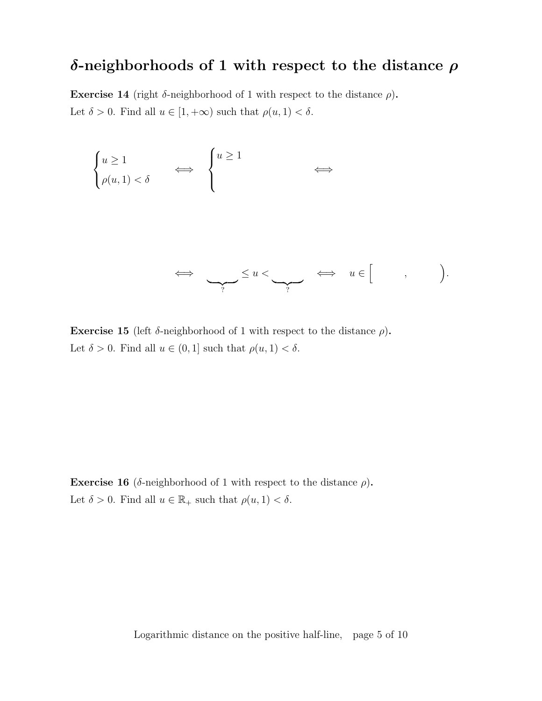## δ-neighborhoods of 1 with respect to the distance  $ρ$

Exercise 14 (right  $\delta$ -neighborhood of 1 with respect to the distance  $\rho$ ). Let  $\delta > 0$ . Find all  $u \in [1, +\infty)$  such that  $\rho(u, 1) < \delta$ .

$$
\begin{cases} u \ge 1 \\ \rho(u, 1) < \delta \end{cases} \iff \begin{cases} u \ge 1 \\ & \Longleftrightarrow \end{cases} \iff \begin{cases} u > 1 \\ & \Longleftrightarrow \end{cases} \iff \begin{cases} u < \\ & \Longleftrightarrow \end{cases} \iff u \in [ \quad , \quad ) \bigg).
$$

Exercise 15 (left  $\delta$ -neighborhood of 1 with respect to the distance  $\rho$ ). Let  $\delta > 0$ . Find all  $u \in (0,1]$  such that  $\rho(u,1) < \delta$ .

Exercise 16 ( $\delta$ -neighborhood of 1 with respect to the distance  $\rho$ ). Let  $\delta > 0$ . Find all  $u \in \mathbb{R}_+$  such that  $\rho(u, 1) < \delta$ .

Logarithmic distance on the positive half-line, page 5 of 10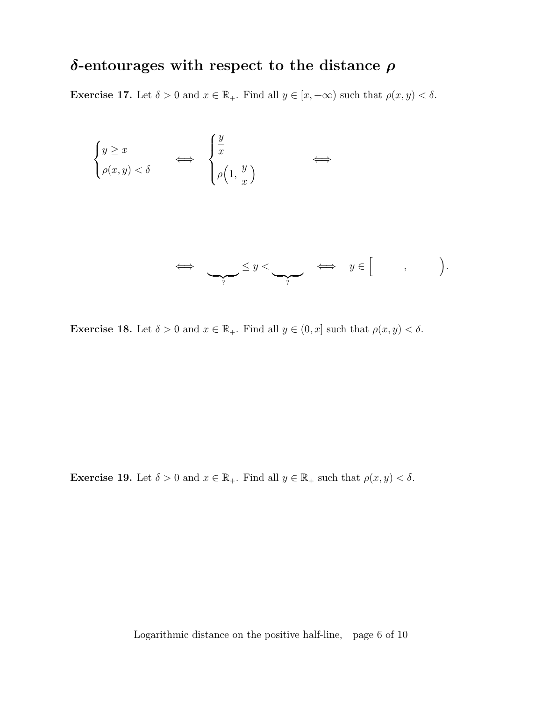## δ-entourages with respect to the distance  $ρ$

**Exercise 17.** Let  $\delta > 0$  and  $x \in \mathbb{R}_+$ . Find all  $y \in [x, +\infty)$  such that  $\rho(x, y) < \delta$ .

$$
\begin{cases}\ny \ge x \\
\rho(x,y) < \delta\n\end{cases}\n\qquad \Longleftrightarrow \qquad\n\begin{cases}\n\frac{y}{x} \\
\rho\left(1, \frac{y}{x}\right)\n\end{cases}\n\Longleftrightarrow
$$

$$
\iff \qquad \qquad \Longleftrightarrow \qquad y \in [ \qquad , \qquad ).
$$

**Exercise 18.** Let  $\delta > 0$  and  $x \in \mathbb{R}_+$ . Find all  $y \in (0, x]$  such that  $\rho(x, y) < \delta$ .

**Exercise 19.** Let  $\delta > 0$  and  $x \in \mathbb{R}_+$ . Find all  $y \in \mathbb{R}_+$  such that  $\rho(x, y) < \delta$ .

Logarithmic distance on the positive half-line, page 6 of 10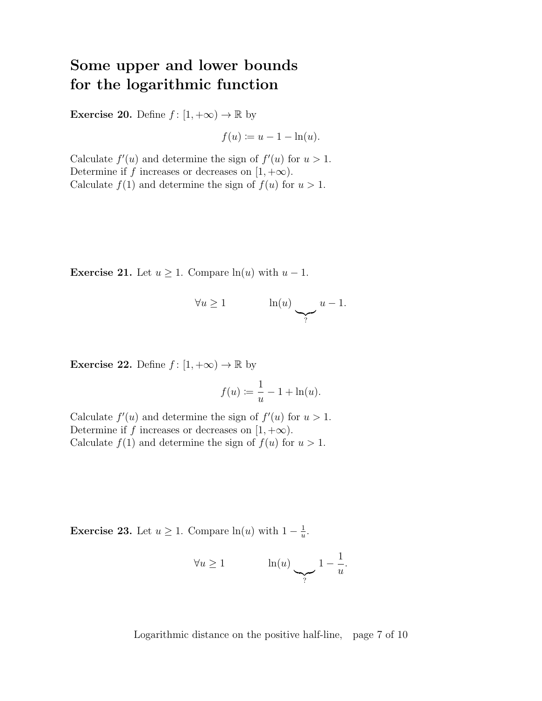## Some upper and lower bounds for the logarithmic function

**Exercise 20.** Define  $f : [1, +\infty) \to \mathbb{R}$  by

$$
f(u) \coloneqq u - 1 - \ln(u).
$$

Calculate  $f'(u)$  and determine the sign of  $f'(u)$  for  $u > 1$ . Determine if f increases or decreases on  $[1, +\infty)$ . Calculate  $f(1)$  and determine the sign of  $f(u)$  for  $u > 1$ .

**Exercise 21.** Let  $u \geq 1$ . Compare  $\ln(u)$  with  $u - 1$ .

$$
\forall u \ge 1 \qquad \qquad \ln(u) \sum_{?} u - 1.
$$

**Exercise 22.** Define  $f : [1, +\infty) \to \mathbb{R}$  by

$$
f(u) \coloneqq \frac{1}{u} - 1 + \ln(u).
$$

Calculate  $f'(u)$  and determine the sign of  $f'(u)$  for  $u > 1$ . Determine if f increases or decreases on  $[1, +\infty)$ . Calculate  $f(1)$  and determine the sign of  $f(u)$  for  $u > 1$ .

**Exercise 23.** Let  $u \geq 1$ . Compare  $\ln(u)$  with  $1 - \frac{1}{u}$  $\frac{1}{u}$ .

$$
\forall u \ge 1 \qquad \qquad \ln(u) \sum_{?} 1 - \frac{1}{u}.
$$

Logarithmic distance on the positive half-line, page 7 of 10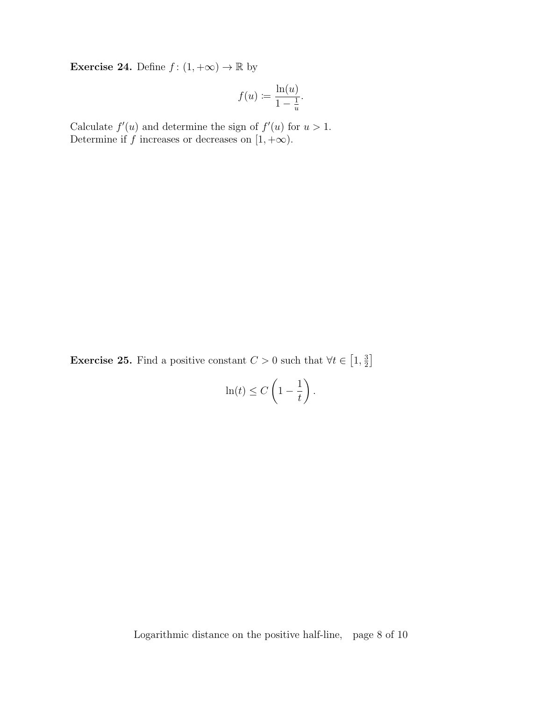**Exercise 24.** Define  $f : (1, +\infty) \to \mathbb{R}$  by

$$
f(u) := \frac{\ln(u)}{1 - \frac{1}{u}}.
$$

Calculate  $f'(u)$  and determine the sign of  $f'(u)$  for  $u > 1$ . Determine if  $f$  increases or decreases on  $[1, +\infty)$ .

**Exercise 25.** Find a positive constant  $C > 0$  such that  $\forall t \in \left[1, \frac{3}{2}\right]$  $\frac{3}{2}$ 

$$
\ln(t) \le C\left(1 - \frac{1}{t}\right).
$$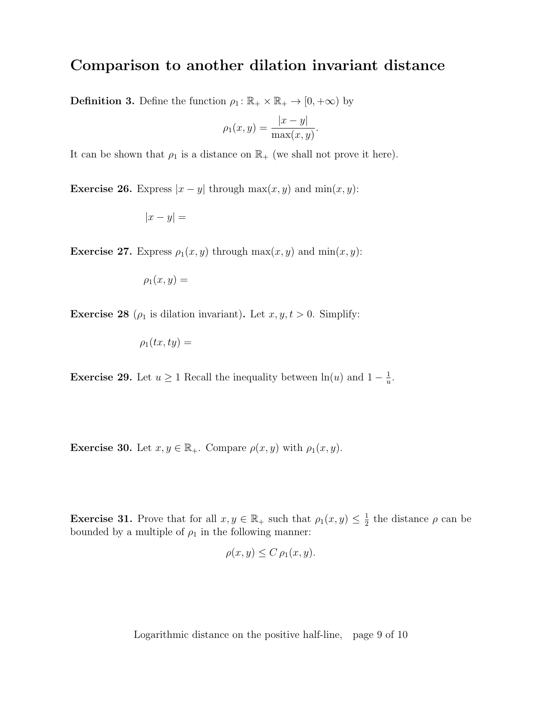#### Comparison to another dilation invariant distance

**Definition 3.** Define the function  $\rho_1 : \mathbb{R}_+ \times \mathbb{R}_+ \to [0, +\infty)$  by

$$
\rho_1(x, y) = \frac{|x - y|}{\max(x, y)}
$$

.

It can be shown that  $\rho_1$  is a distance on  $\mathbb{R}_+$  (we shall not prove it here).

**Exercise 26.** Express  $|x - y|$  through max $(x, y)$  and min $(x, y)$ :

$$
|x - y| =
$$

**Exercise 27.** Express  $\rho_1(x, y)$  through  $\max(x, y)$  and  $\min(x, y)$ :

$$
\rho_1(x,y) =
$$

**Exercise 28** ( $\rho_1$  is dilation invariant). Let  $x, y, t > 0$ . Simplify:

$$
\rho_1(tx,ty) =
$$

**Exercise 29.** Let  $u \geq 1$  Recall the inequality between  $\ln(u)$  and  $1 - \frac{1}{u}$  $\frac{1}{u}$ .

**Exercise 30.** Let  $x, y \in \mathbb{R}_+$ . Compare  $\rho(x, y)$  with  $\rho_1(x, y)$ .

**Exercise 31.** Prove that for all  $x, y \in \mathbb{R}_+$  such that  $\rho_1(x, y) \leq \frac{1}{2}$  $\frac{1}{2}$  the distance  $\rho$  can be bounded by a multiple of  $\rho_1$  in the following manner:

$$
\rho(x, y) \le C \, \rho_1(x, y).
$$

Logarithmic distance on the positive half-line, page 9 of 10